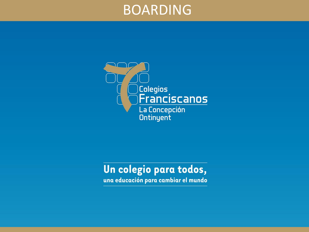### BOARDING



#### Un colegio para todos,

una educación para cambiar el mundo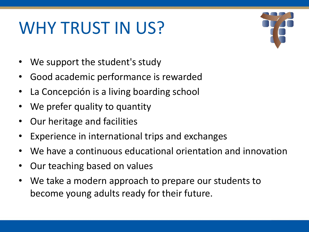# WHY TRUST IN US?

- We support the student's study
- Good academic performance is rewarded
- La Concepción is a living boarding school
- We prefer quality to quantity
- Our heritage and facilities
- Experience in international trips and exchanges
- We have a continuous educational orientation and innovation
- Our teaching based on values
- We take a modern approach to prepare our students to become young adults ready for their future.

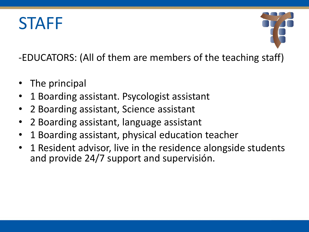## **STAFF**



-EDUCATORS: (All of them are members of the teaching staff)

- The principal
- 1 Boarding assistant. Psycologist assistant
- 2 Boarding assistant, Science assistant
- 2 Boarding assistant, language assistant
- 1 Boarding assistant, physical education teacher
- 1 Resident advisor, live in the residence alongside students and provide 24/7 support and supervisión.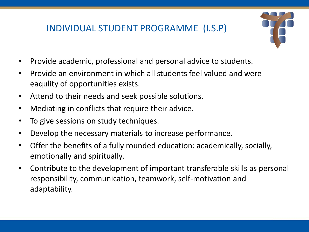#### INDIVIDUAL STUDENT PROGRAMME (I.S.P)



- Provide academic, professional and personal advice to students.
- Provide an environment in which all students feel valued and were eaqulity of opportunities exists.
- Attend to their needs and seek possible solutions.
- Mediating in conflicts that require their advice.
- To give sessions on study techniques.
- Develop the necessary materials to increase performance.
- Offer the benefits of a fully rounded education: academically, socially, emotionally and spiritually.
- Contribute to the development of important transferable skills as personal responsibility, communication, teamwork, self-motivation and adaptability.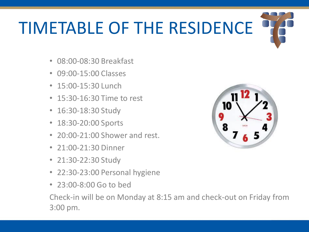# TIMETABLE OF THE RESIDENCE

- 08:00-08:30 Breakfast
- 09:00-15:00 Classes
- 15:00-15:30 Lunch
- 15:30-16:30 Time to rest
- 16:30-18:30 Study
- 18:30-20:00 Sports
- 20:00-21:00 Shower and rest.
- 21:00-21:30 Dinner
- 21:30-22:30 Study
- 22:30-23:00 Personal hygiene
- 23:00-8:00 Go to bed



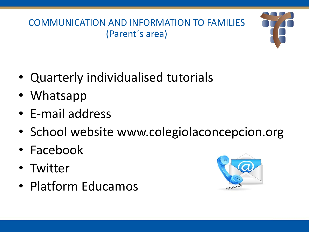COMMUNICATION AND INFORMATION TO FAMILIES (Parent´s area)

- Quarterly individualised tutorials
- Whatsapp
- E-mail address
- School website www.colegiolaconcepcion.org
- Facebook
- Twitter
- Platform Educamos



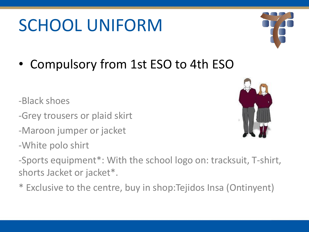# SCHOOL UNIFORM

• Compulsory from 1st ESO to 4th ESO

-Black shoes

- -Grey trousers or plaid skirt
- -Maroon jumper or jacket
- -White polo shirt

-Sports equipment\*: With the school logo on: tracksuit, T-shirt, shorts Jacket or jacket\*.

\* Exclusive to the centre, buy in shop:Tejidos Insa (Ontinyent)



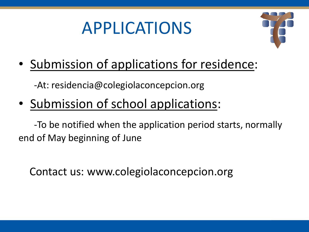### APPLICATIONS



• Submission of applications for residence:

-At: residencia@colegiolaconcepcion.org

• Submission of school applications:

-To be notified when the application period starts, normally end of May beginning of June

Contact us: www.colegiolaconcepcion.org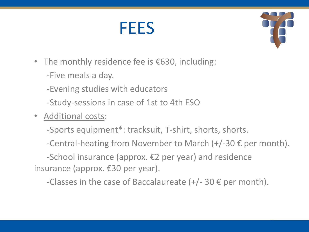### FEES



- The monthly residence fee is €630, including:
	- -Five meals a day.
	- -Evening studies with educators
	- -Study-sessions in case of 1st to 4th ESO
- Additional costs:

-Sports equipment\*: tracksuit, T-shirt, shorts, shorts.

-Central-heating from November to March  $(+/-30 \epsilon$  per month).

-School insurance (approx. €2 per year) and residence insurance (approx. €30 per year).

-Classes in the case of Baccalaureate  $(+/- 30 \epsilon$  per month).